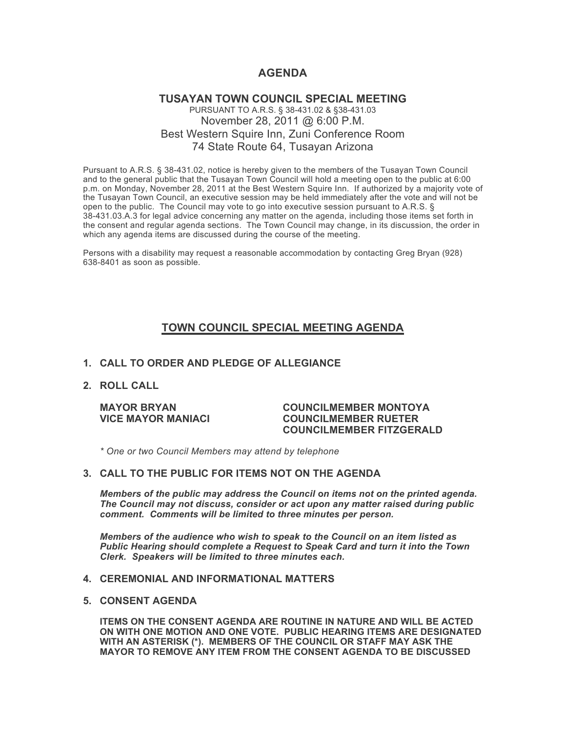# **AGENDA**

## **TUSAYAN TOWN COUNCIL SPECIAL MEETING** PURSUANT TO A.R.S. § 38-431.02 & §38-431.03 November 28, 2011 @ 6:00 P.M. Best Western Squire Inn, Zuni Conference Room 74 State Route 64, Tusayan Arizona

Pursuant to A.R.S. § 38-431.02, notice is hereby given to the members of the Tusayan Town Council and to the general public that the Tusayan Town Council will hold a meeting open to the public at 6:00 p.m. on Monday, November 28, 2011 at the Best Western Squire Inn. If authorized by a majority vote of the Tusayan Town Council, an executive session may be held immediately after the vote and will not be open to the public. The Council may vote to go into executive session pursuant to A.R.S. § 38-431.03.A.3 for legal advice concerning any matter on the agenda, including those items set forth in the consent and regular agenda sections. The Town Council may change, in its discussion, the order in which any agenda items are discussed during the course of the meeting.

Persons with a disability may request a reasonable accommodation by contacting Greg Bryan (928) 638-8401 as soon as possible.

# **TOWN COUNCIL SPECIAL MEETING AGENDA**

### **1. CALL TO ORDER AND PLEDGE OF ALLEGIANCE**

**2. ROLL CALL**

#### **MAYOR BRYAN COUNCILMEMBER MONTOYA VICE MAYOR MANIACI COUNCILMEMBER RUETER COUNCILMEMBER FITZGERALD**

*\* One or two Council Members may attend by telephone*

### **3. CALL TO THE PUBLIC FOR ITEMS NOT ON THE AGENDA**

*Members of the public may address the Council* **o***n items not on the printed agenda. The Council may not discuss, consider or act upon any matter raised during public comment. Comments will be limited to three minutes per person.*

*Members of the audience who wish to speak to the Council on an item listed as Public Hearing should complete a Request to Speak Card and turn it into the Town Clerk. Speakers will be limited to three minutes each.*

### **4. CEREMONIAL AND INFORMATIONAL MATTERS**

#### **5. CONSENT AGENDA**

**ITEMS ON THE CONSENT AGENDA ARE ROUTINE IN NATURE AND WILL BE ACTED ON WITH ONE MOTION AND ONE VOTE. PUBLIC HEARING ITEMS ARE DESIGNATED WITH AN ASTERISK (\*). MEMBERS OF THE COUNCIL OR STAFF MAY ASK THE MAYOR TO REMOVE ANY ITEM FROM THE CONSENT AGENDA TO BE DISCUSSED**